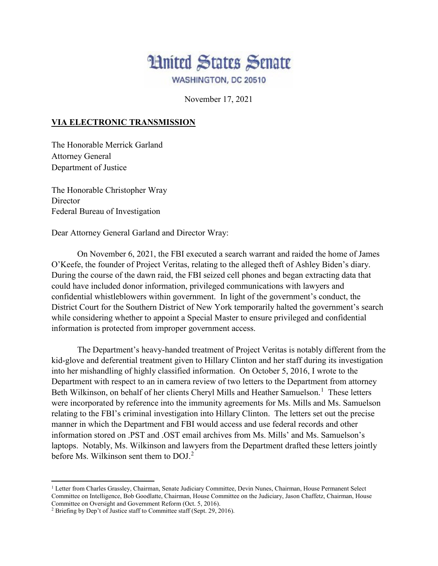

November 17, 2021

## **VIA ELECTRONIC TRANSMISSION**

The Honorable Merrick Garland Attorney General Department of Justice

The Honorable Christopher Wray **Director** Federal Bureau of Investigation

Dear Attorney General Garland and Director Wray:

On November 6, 2021, the FBI executed a search warrant and raided the home of James O'Keefe, the founder of Project Veritas, relating to the alleged theft of Ashley Biden's diary. During the course of the dawn raid, the FBI seized cell phones and began extracting data that could have included donor information, privileged communications with lawyers and confidential whistleblowers within government. In light of the government's conduct, the District Court for the Southern District of New York temporarily halted the government's search while considering whether to appoint a Special Master to ensure privileged and confidential information is protected from improper government access.

The Department's heavy-handed treatment of Project Veritas is notably different from the kid-glove and deferential treatment given to Hillary Clinton and her staff during its investigation into her mishandling of highly classified information. On October 5, 2016, I wrote to the Department with respect to an in camera review of two letters to the Department from attorney Beth Wilkinson, on behalf of her clients Cheryl Mills and Heather Samuelson.<sup>[1](#page-0-0)</sup> These letters were incorporated by reference into the immunity agreements for Ms. Mills and Ms. Samuelson relating to the FBI's criminal investigation into Hillary Clinton. The letters set out the precise manner in which the Department and FBI would access and use federal records and other information stored on .PST and .OST email archives from Ms. Mills' and Ms. Samuelson's laptops. Notably, Ms. Wilkinson and lawyers from the Department drafted these letters jointly before Ms. Wilkinson sent them to DOJ.<sup>[2](#page-0-1)</sup>

 $\overline{\phantom{a}}$ 

<span id="page-0-0"></span><sup>&</sup>lt;sup>1</sup> Letter from Charles Grassley, Chairman, Senate Judiciary Committee, Devin Nunes, Chairman, House Permanent Select Committee on Intelligence, Bob Goodlatte, Chairman, House Committee on the Judiciary, Jason Chaffetz, Chairman, House Committee on Oversight and Government Reform (Oct. 5, 2016).

<span id="page-0-1"></span><sup>2</sup> Briefing by Dep't of Justice staff to Committee staff (Sept. 29, 2016).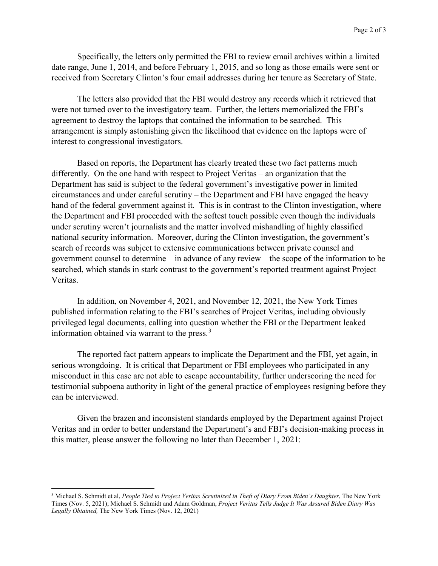Specifically, the letters only permitted the FBI to review email archives within a limited date range, June 1, 2014, and before February 1, 2015, and so long as those emails were sent or received from Secretary Clinton's four email addresses during her tenure as Secretary of State.

The letters also provided that the FBI would destroy any records which it retrieved that were not turned over to the investigatory team. Further, the letters memorialized the FBI's agreement to destroy the laptops that contained the information to be searched. This arrangement is simply astonishing given the likelihood that evidence on the laptops were of interest to congressional investigators.

Based on reports, the Department has clearly treated these two fact patterns much differently. On the one hand with respect to Project Veritas – an organization that the Department has said is subject to the federal government's investigative power in limited circumstances and under careful scrutiny – the Department and FBI have engaged the heavy hand of the federal government against it. This is in contrast to the Clinton investigation, where the Department and FBI proceeded with the softest touch possible even though the individuals under scrutiny weren't journalists and the matter involved mishandling of highly classified national security information. Moreover, during the Clinton investigation, the government's search of records was subject to extensive communications between private counsel and government counsel to determine – in advance of any review – the scope of the information to be searched, which stands in stark contrast to the government's reported treatment against Project Veritas.

In addition, on November 4, 2021, and November 12, 2021, the New York Times published information relating to the FBI's searches of Project Veritas, including obviously privileged legal documents, calling into question whether the FBI or the Department leaked information obtained via warrant to the press. $3$ 

The reported fact pattern appears to implicate the Department and the FBI, yet again, in serious wrongdoing. It is critical that Department or FBI employees who participated in any misconduct in this case are not able to escape accountability, further underscoring the need for testimonial subpoena authority in light of the general practice of employees resigning before they can be interviewed.

Given the brazen and inconsistent standards employed by the Department against Project Veritas and in order to better understand the Department's and FBI's decision-making process in this matter, please answer the following no later than December 1, 2021:

 $\overline{a}$ 

<span id="page-1-0"></span><sup>&</sup>lt;sup>3</sup> Michael S. Schmidt et al, *People Tied to Project Veritas Scrutinized in Theft of Diary From Biden's Daughter*, The New York Times (Nov. 5, 2021); Michael S. Schmidt and Adam Goldman, *Project Veritas Tells Judge It Was Assured Biden Diary Was Legally Obtained,* The New York Times (Nov. 12, 2021)